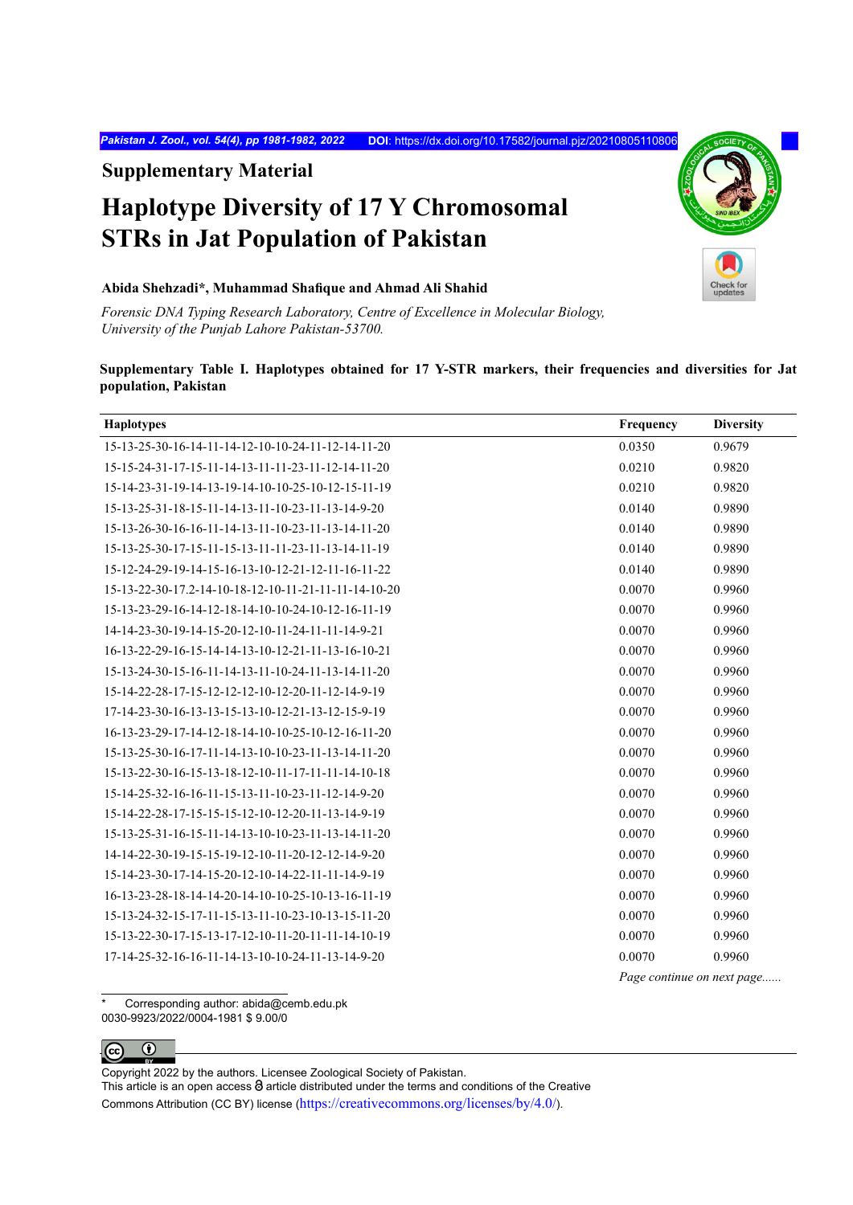*Pakistan J. Zool., vol. 54(4), pp 1981-1982, 2022* **DOI**: <https://dx.doi.org/10.17582/journal.pjz/20210805110806>

**Supplementary Material**

## **Haplotype Diversity of 17 Y Chromosomal STRs in Jat Population of Pakistan**

## **Abida Shehzadi\*, Muhammad Shafique and Ahmad Ali Shahid**

*Forensic DNA Typing Research Laboratory, Centre of Excellence in Molecular Biology, University of the Punjab Lahore Pakistan-53700.*

## **Supplementary Table I. Haplotypes obtained for 17 Y-STR markers, their frequencies and diversities for Jat population, Pakistan**

| <b>Haplotypes</b>                                    | Frequency                  | <b>Diversity</b> |
|------------------------------------------------------|----------------------------|------------------|
| 15-13-25-30-16-14-11-14-12-10-10-24-11-12-14-11-20   | 0.0350                     | 0.9679           |
| 15-15-24-31-17-15-11-14-13-11-11-23-11-12-14-11-20   | 0.0210                     | 0.9820           |
| 15-14-23-31-19-14-13-19-14-10-10-25-10-12-15-11-19   | 0.0210                     | 0.9820           |
| 15-13-25-31-18-15-11-14-13-11-10-23-11-13-14-9-20    | 0.0140                     | 0.9890           |
| 15-13-26-30-16-16-11-14-13-11-10-23-11-13-14-11-20   | 0.0140                     | 0.9890           |
| 15-13-25-30-17-15-11-15-13-11-11-23-11-13-14-11-19   | 0.0140                     | 0.9890           |
| 15-12-24-29-19-14-15-16-13-10-12-21-12-11-16-11-22   | 0.0140                     | 0.9890           |
| 15-13-22-30-17.2-14-10-18-12-10-11-21-11-11-14-10-20 | 0.0070                     | 0.9960           |
| 15-13-23-29-16-14-12-18-14-10-10-24-10-12-16-11-19   | 0.0070                     | 0.9960           |
| 14-14-23-30-19-14-15-20-12-10-11-24-11-11-14-9-21    | 0.0070                     | 0.9960           |
| 16-13-22-29-16-15-14-14-13-10-12-21-11-13-16-10-21   | 0.0070                     | 0.9960           |
| 15-13-24-30-15-16-11-14-13-11-10-24-11-13-14-11-20   | 0.0070                     | 0.9960           |
| 15-14-22-28-17-15-12-12-12-10-12-20-11-12-14-9-19    | 0.0070                     | 0.9960           |
| 17-14-23-30-16-13-13-15-13-10-12-21-13-12-15-9-19    | 0.0070                     | 0.9960           |
| 16-13-23-29-17-14-12-18-14-10-10-25-10-12-16-11-20   | 0.0070                     | 0.9960           |
| 15-13-25-30-16-17-11-14-13-10-10-23-11-13-14-11-20   | 0.0070                     | 0.9960           |
| 15-13-22-30-16-15-13-18-12-10-11-17-11-11-14-10-18   | 0.0070                     | 0.9960           |
| 15-14-25-32-16-16-11-15-13-11-10-23-11-12-14-9-20    | 0.0070                     | 0.9960           |
| 15-14-22-28-17-15-15-15-12-10-12-20-11-13-14-9-19    | 0.0070                     | 0.9960           |
| 15-13-25-31-16-15-11-14-13-10-10-23-11-13-14-11-20   | 0.0070                     | 0.9960           |
| 14-14-22-30-19-15-15-19-12-10-11-20-12-12-14-9-20    | 0.0070                     | 0.9960           |
| 15-14-23-30-17-14-15-20-12-10-14-22-11-11-14-9-19    | 0.0070                     | 0.9960           |
| 16-13-23-28-18-14-14-20-14-10-10-25-10-13-16-11-19   | 0.0070                     | 0.9960           |
| 15-13-24-32-15-17-11-15-13-11-10-23-10-13-15-11-20   | 0.0070                     | 0.9960           |
| 15-13-22-30-17-15-13-17-12-10-11-20-11-11-14-10-19   | 0.0070                     | 0.9960           |
| 17-14-25-32-16-16-11-14-13-10-10-24-11-13-14-9-20    | 0.0070                     | 0.9960           |
|                                                      | Page continue on next page |                  |

Corresponding author: abida@cemb.edu.pk 0030-9923/2022/0004-1981 \$ 9.00/0



Copyright 2022 by the authors. Licensee Zoological Society of Pakistan.

This article is an open access  $\Theta$  article distributed under the terms and conditions of the Creative Commons Attribution (CC BY) license (https://creativecommons.org/licenses/by/4.0/).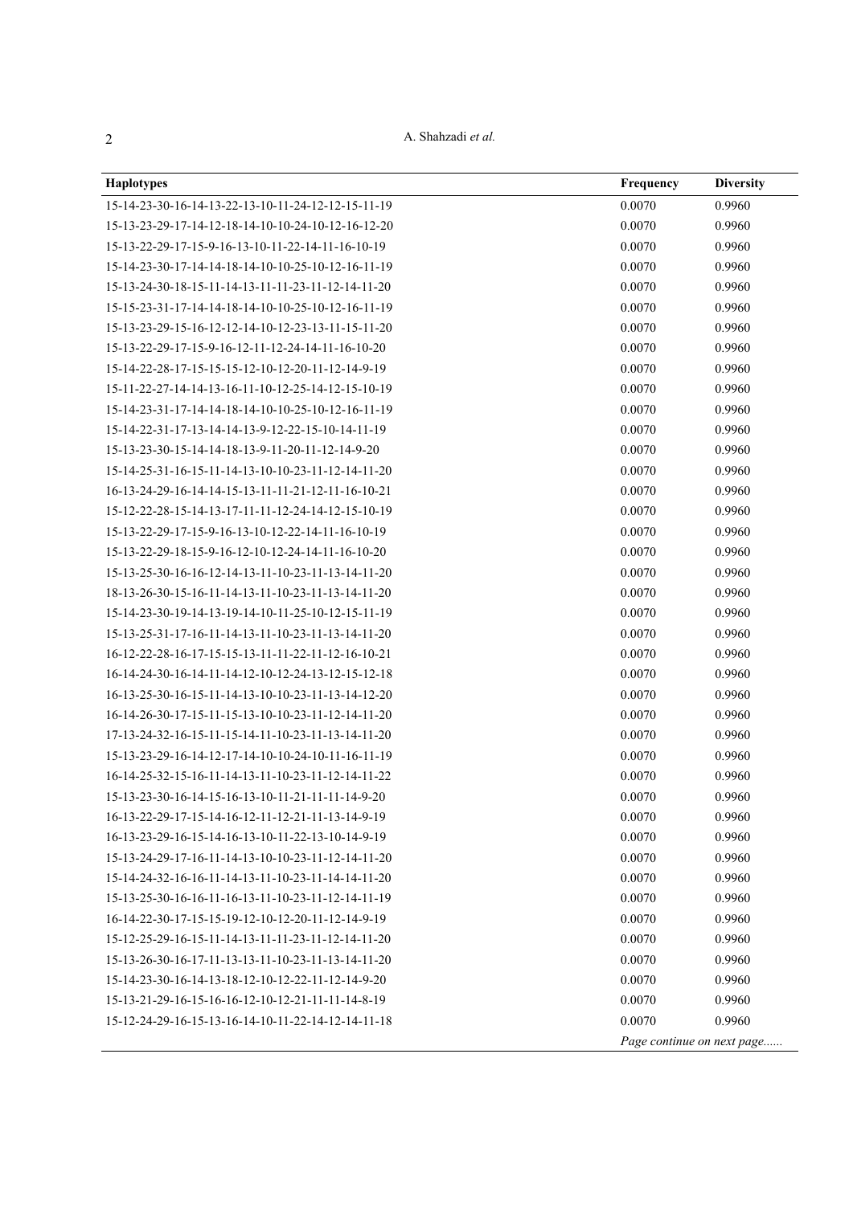A. Shahzadi *et al.*

| <b>Haplotypes</b>                                   | Frequency | <b>Diversity</b>           |
|-----------------------------------------------------|-----------|----------------------------|
| 15-14-23-30-16-14-13-22-13-10-11-24-12-12-15-11-19  | 0.0070    | 0.9960                     |
| 15-13-23-29-17-14-12-18-14-10-10-24-10-12-16-12-20  | 0.0070    | 0.9960                     |
| 15-13-22-29-17-15-9-16-13-10-11-22-14-11-16-10-19   | 0.0070    | 0.9960                     |
| 15-14-23-30-17-14-14-18-14-10-10-25-10-12-16-11-19  | 0.0070    | 0.9960                     |
| 15-13-24-30-18-15-11-14-13-11-11-23-11-12-14-11-20  | 0.0070    | 0.9960                     |
| 15-15-23-31-17-14-14-18-14-10-10-25-10-12-16-11-19  | 0.0070    | 0.9960                     |
| 15-13-23-29-15-16-12-12-14-10-12-23-13-11-15-11-20  | 0.0070    | 0.9960                     |
| 15-13-22-29-17-15-9-16-12-11-12-24-14-11-16-10-20   | 0.0070    | 0.9960                     |
| 15-14-22-28-17-15-15-15-12-10-12-20-11-12-14-9-19   | 0.0070    | 0.9960                     |
| 15-11-22-27-14-14-13-16-11-10-12-25-14-12-15-10-19  | 0.0070    | 0.9960                     |
| 15-14-23-31-17-14-14-18-14-10-10-25-10-12-16-11-19  | 0.0070    | 0.9960                     |
| 15-14-22-31-17-13-14-14-13-9-12-22-15-10-14-11-19   | 0.0070    | 0.9960                     |
| 15-13-23-30-15-14-14-18-13-9-11-20-11-12-14-9-20    | 0.0070    | 0.9960                     |
| 15-14-25-31-16-15-11-14-13-10-10-23-11-12-14-11-20  | 0.0070    | 0.9960                     |
| 16-13-24-29-16-14-14-15-13-11-11-21-12-11-16-10-21  | 0.0070    | 0.9960                     |
| 15-12-22-28-15-14-13-17-11-11-12-24-14-12-15-10-19  | 0.0070    | 0.9960                     |
| 15-13-22-29-17-15-9-16-13-10-12-22-14-11-16-10-19   | 0.0070    | 0.9960                     |
| 15-13-22-29-18-15-9-16-12-10-12-24-14-11-16-10-20   | 0.0070    | 0.9960                     |
| 15-13-25-30-16-16-12-14-13-11-10-23-11-13-14-11-20  | 0.0070    | 0.9960                     |
| 18-13-26-30-15-16-11-14-13-11-10-23-11-13-14-11-20  | 0.0070    | 0.9960                     |
| 15-14-23-30-19-14-13-19-14-10-11-25-10-12-15-11-19  | 0.0070    | 0.9960                     |
| 15-13-25-31-17-16-11-14-13-11-10-23-11-13-14-11-20  | 0.0070    | 0.9960                     |
| 16-12-22-28-16-17-15-15-13-11-11-22-11-12-16-10-21  | 0.0070    | 0.9960                     |
| 16-14-24-30-16-14-11-14-12-10-12-24-13-12-15-12-18  | 0.0070    | 0.9960                     |
| 16-13-25-30-16-15-11-14-13-10-10-23-11-13-14-12-20  | 0.0070    | 0.9960                     |
| 16-14-26-30-17-15-11-15-13-10-10-23-11-12-14-11-20  | 0.0070    | 0.9960                     |
| 17-13-24-32-16-15-11-15-14-11-10-23-11-13-14-11-20  | 0.0070    | 0.9960                     |
| 15-13-23-29-16-14-12-17-14-10-10-24-10-11-16-11-19  | 0.0070    | 0.9960                     |
| 16-14-25-32-15-16-11-14-13-11-10-23-11-12-14-11-22  | 0.0070    | 0.9960                     |
| 15-13-23-30-16-14-15-16-13-10-11-21-11-11-14-9-20   | 0.0070    | 0.9960                     |
| 16-13-22-29-17-15-14-16-12-11-12-21-11-13-14-9-19   | 0.0070    | 0.9960                     |
| 16-13-23-29-16-15-14-16-13-10-11-22-13-10-14-9-19   | 0.0070    | 0.9960                     |
| 15-13-24-29-17-16-11-14-13-10-10-23-11-12-14-11-20  | 0.0070    | 0.9960                     |
| 15-14-24-32-16-16-11-14-13-11-10-23-11-14-14-11-20  | 0.0070    | 0.9960                     |
| 15-13-25-30-16-16-11-16-13-11-10-23-11-12-14-11-19  | 0.0070    | 0.9960                     |
| 16-14-22-30-17-15-15-19-12-10-12-20-11-12-14-9-19   | 0.0070    | 0.9960                     |
| 15-12-25-29-16-15-11-14-13-11-11-23-11-12-14-11-20  | 0.0070    | 0.9960                     |
| 15-13-26-30-16-17-11-13-13-11-10-23-11-13-14-11-20  | 0.0070    | 0.9960                     |
| $15-14-23-30-16-14-13-18-12-10-12-22-11-12-14-9-20$ | 0.0070    | 0.9960                     |
| 15-13-21-29-16-15-16-16-12-10-12-21-11-11-14-8-19   | 0.0070    | 0.9960                     |
| 15-12-24-29-16-15-13-16-14-10-11-22-14-12-14-11-18  | 0.0070    | 0.9960                     |
|                                                     |           | Page continue on next page |

2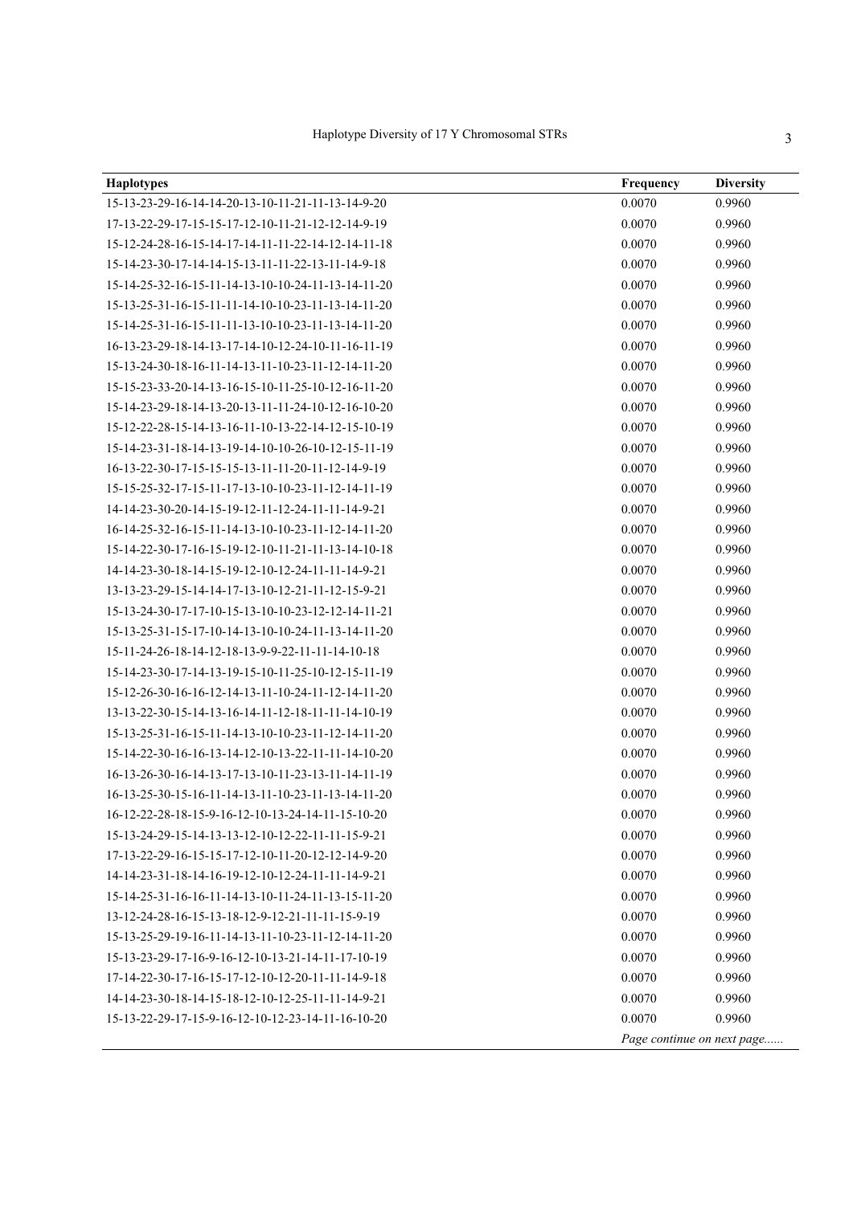| ncy | Diver |
|-----|-------|
|     | 0.996 |

| <b>Haplotypes</b>                                  | Frequency                  | <b>Diversity</b> |
|----------------------------------------------------|----------------------------|------------------|
| 15-13-23-29-16-14-14-20-13-10-11-21-11-13-14-9-20  | 0.0070                     | 0.9960           |
| 17-13-22-29-17-15-15-17-12-10-11-21-12-12-14-9-19  | 0.0070                     | 0.9960           |
| 15-12-24-28-16-15-14-17-14-11-11-22-14-12-14-11-18 | 0.0070                     | 0.9960           |
| 15-14-23-30-17-14-14-15-13-11-11-22-13-11-14-9-18  | 0.0070                     | 0.9960           |
| 15-14-25-32-16-15-11-14-13-10-10-24-11-13-14-11-20 | 0.0070                     | 0.9960           |
| 15-13-25-31-16-15-11-11-14-10-10-23-11-13-14-11-20 | 0.0070                     | 0.9960           |
| 15-14-25-31-16-15-11-11-13-10-10-23-11-13-14-11-20 | 0.0070                     | 0.9960           |
| 16-13-23-29-18-14-13-17-14-10-12-24-10-11-16-11-19 | 0.0070                     | 0.9960           |
| 15-13-24-30-18-16-11-14-13-11-10-23-11-12-14-11-20 | 0.0070                     | 0.9960           |
| 15-15-23-33-20-14-13-16-15-10-11-25-10-12-16-11-20 | 0.0070                     | 0.9960           |
| 15-14-23-29-18-14-13-20-13-11-11-24-10-12-16-10-20 | 0.0070                     | 0.9960           |
| 15-12-22-28-15-14-13-16-11-10-13-22-14-12-15-10-19 | 0.0070                     | 0.9960           |
| 15-14-23-31-18-14-13-19-14-10-10-26-10-12-15-11-19 | 0.0070                     | 0.9960           |
| 16-13-22-30-17-15-15-15-13-11-11-20-11-12-14-9-19  | 0.0070                     | 0.9960           |
| 15-15-25-32-17-15-11-17-13-10-10-23-11-12-14-11-19 | 0.0070                     | 0.9960           |
| 14-14-23-30-20-14-15-19-12-11-12-24-11-11-14-9-21  | 0.0070                     | 0.9960           |
| 16-14-25-32-16-15-11-14-13-10-10-23-11-12-14-11-20 | 0.0070                     | 0.9960           |
| 15-14-22-30-17-16-15-19-12-10-11-21-11-13-14-10-18 | 0.0070                     | 0.9960           |
| 14-14-23-30-18-14-15-19-12-10-12-24-11-11-14-9-21  | 0.0070                     | 0.9960           |
| 13-13-23-29-15-14-14-17-13-10-12-21-11-12-15-9-21  | 0.0070                     | 0.9960           |
| 15-13-24-30-17-17-10-15-13-10-10-23-12-12-14-11-21 | 0.0070                     | 0.9960           |
| 15-13-25-31-15-17-10-14-13-10-10-24-11-13-14-11-20 | 0.0070                     | 0.9960           |
| 15-11-24-26-18-14-12-18-13-9-9-22-11-11-14-10-18   | 0.0070                     | 0.9960           |
| 15-14-23-30-17-14-13-19-15-10-11-25-10-12-15-11-19 | 0.0070                     | 0.9960           |
| 15-12-26-30-16-16-12-14-13-11-10-24-11-12-14-11-20 | 0.0070                     | 0.9960           |
| 13-13-22-30-15-14-13-16-14-11-12-18-11-11-14-10-19 | 0.0070                     | 0.9960           |
| 15-13-25-31-16-15-11-14-13-10-10-23-11-12-14-11-20 | 0.0070                     | 0.9960           |
| 15-14-22-30-16-16-13-14-12-10-13-22-11-11-14-10-20 | 0.0070                     | 0.9960           |
| 16-13-26-30-16-14-13-17-13-10-11-23-13-11-14-11-19 | 0.0070                     | 0.9960           |
| 16-13-25-30-15-16-11-14-13-11-10-23-11-13-14-11-20 | 0.0070                     | 0.9960           |
| 16-12-22-28-18-15-9-16-12-10-13-24-14-11-15-10-20  | 0.0070                     | 0.9960           |
| 15-13-24-29-15-14-13-13-12-10-12-22-11-11-15-9-21  | 0.0070                     | 0.9960           |
| 17-13-22-29-16-15-15-17-12-10-11-20-12-12-14-9-20  | 0.0070                     | 0.9960           |
| 14-14-23-31-18-14-16-19-12-10-12-24-11-11-14-9-21  | 0.0070                     | 0.9960           |
| 15-14-25-31-16-16-11-14-13-10-11-24-11-13-15-11-20 | 0.0070                     | 0.9960           |
| 13-12-24-28-16-15-13-18-12-9-12-21-11-11-15-9-19   | 0.0070                     | 0.9960           |
| 15-13-25-29-19-16-11-14-13-11-10-23-11-12-14-11-20 | 0.0070                     | 0.9960           |
| 15-13-23-29-17-16-9-16-12-10-13-21-14-11-17-10-19  | 0.0070                     | 0.9960           |
| 17-14-22-30-17-16-15-17-12-10-12-20-11-11-14-9-18  | 0.0070                     | 0.9960           |
| 14-14-23-30-18-14-15-18-12-10-12-25-11-11-14-9-21  | 0.0070                     | 0.9960           |
| 15-13-22-29-17-15-9-16-12-10-12-23-14-11-16-10-20  | 0.0070                     | 0.9960           |
|                                                    | Page continue on next page |                  |